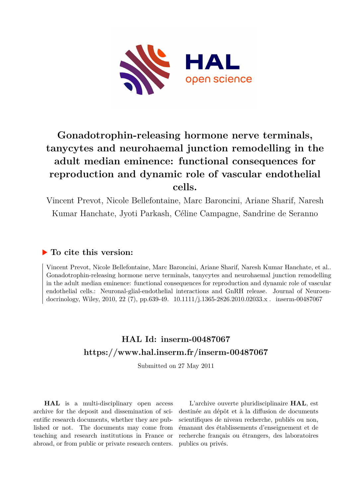

# **Gonadotrophin-releasing hormone nerve terminals, tanycytes and neurohaemal junction remodelling in the adult median eminence: functional consequences for reproduction and dynamic role of vascular endothelial cells.**

Vincent Prevot, Nicole Bellefontaine, Marc Baroncini, Ariane Sharif, Naresh Kumar Hanchate, Jyoti Parkash, Céline Campagne, Sandrine de Seranno

## **To cite this version:**

Vincent Prevot, Nicole Bellefontaine, Marc Baroncini, Ariane Sharif, Naresh Kumar Hanchate, et al.. Gonadotrophin-releasing hormone nerve terminals, tanycytes and neurohaemal junction remodelling in the adult median eminence: functional consequences for reproduction and dynamic role of vascular endothelial cells.: Neuronal-glial-endothelial interactions and GnRH release. Journal of Neuroendocrinology, Wiley, 2010, 22 (7), pp.639-49. 10.1111/j.1365-2826.2010.02033.x . inserm-00487067

## **HAL Id: inserm-00487067 <https://www.hal.inserm.fr/inserm-00487067>**

Submitted on 27 May 2011

**HAL** is a multi-disciplinary open access archive for the deposit and dissemination of scientific research documents, whether they are published or not. The documents may come from teaching and research institutions in France or abroad, or from public or private research centers.

L'archive ouverte pluridisciplinaire **HAL**, est destinée au dépôt et à la diffusion de documents scientifiques de niveau recherche, publiés ou non, émanant des établissements d'enseignement et de recherche français ou étrangers, des laboratoires publics ou privés.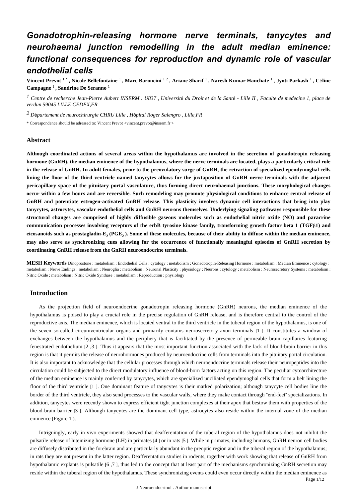## *Gonadotrophin-releasing hormone nerve terminals, tanycytes and neurohaemal junction remodelling in the adult median eminence: functional consequences for reproduction and dynamic role of vascular endothelial cells*

**Vincent Prevot** 1 \* **, Nicole Bellefontaine** <sup>1</sup> **, Marc Baroncini** 1 2 **, Ariane Sharif** <sup>1</sup> **, Naresh Kumar Hanchate** <sup>1</sup> **, Jyoti Parkash** <sup>1</sup> **, C**é**line Campagne** <sup>1</sup> **, Sandrine De Seranno** <sup>1</sup>

*Centre de recherche Jean-Pierre Aubert 1 INSERM : U837 , Universit*é *du Droit et de la Sant*é *- Lille II , Faculte de medecine 1, place de verdun 59045 LILLE CEDEX,FR*

*D partement de neurochirurgie 2* <sup>é</sup> *CHRU Lille , H*ô*pital Roger Salengro , Lille,FR*

\* Correspondence should be adressed to: Vincent Prevot <vincent.prevot@inserm.fr >

## **Abstract**

**Although coordinated actions of several areas within the hypothalamus are involved in the secretion of gonadotropin releasing hormone (GnRH), the median eminence of the hypothalamus, where the nerve terminals are located, plays a particularly critical role in the release of GnRH. In adult females, prior to the preovulatory surge of GnRH, the retraction of specialized ependymoglial cells lining the floor of the third ventricle named tanycytes allows for the juxtaposition of GnRH nerve terminals with the adjacent pericapillary space of the pituitary portal vasculature, thus forming direct neurohaemal junctions. These morphological changes occur within a few hours and are reversible. Such remodeling may promote physiological conditions to enhance central release of GnRH and potentiate estrogen-activated GnRH release. This plasticity involves dynamic cell interactions that bring into play tanycytes, astrocytes, vascular endothelial cells and GnRH neurons themselves. Underlying signaling pathways responsible for these structural changes are comprised of highly diffusible gaseous molecules such as endothelial nitric oxide (NO) and paracrine communication processes involving receptors of the erbB tyrosine kinase family, transforming growth factor beta 1 (TGF**β**1) and eicosanoids such as prostagladin-E (PGE ). Some of these molecules, because of their ability to diffuse within the median eminence, 2 2 may also serve as synchronizing cues allowing for the occurrence of functionally meaningful episodes of GnRH secretion by coordinating GnRH release from the GnRH neuroendocrine terminals.**

**MESH Keywords** Dinoprostone ; metabolism ; Endothelial Cells ; cytology ; metabolism ; Gonadotropin-Releasing Hormone ; metabolism ; Median Eminence ; cytology ; metabolism ; Nerve Endings ; metabolism ; Neuroglia ; metabolism ; Neuronal Plasticity ; physiology ; Neurons ; cytology ; metabolism ; Neurosecretory Systems ; metabolism ; Nitric Oxide ; metabolism ; Nitric Oxide Synthase ; metabolism ; Reproduction ; physiology

### **Introduction**

As the projection field of neuroendocrine gonadotropin releasing hormone (GnRH) neurons, the median eminence of the hypothalamus is poised to play a crucial role in the precise regulation of GnRH release, and is therefore central to the control of the reproductive axis. The median eminence, which is located ventral to the third ventricle in the tuberal region of the hypothalamus, is one of the seven so-called circumventricular organs and primarily contains neurosecretory axon terminals [1 ]. It constitutes a window of exchanges between the hypothalamus and the periphery that is facilitated by the presence of permeable brain capillaries featuring fenestrated endothelium [2 ,3 ]. Thus it appears that the most important function associated with the lack of blood-brain barrier in this region is that it permits the release of neurohormones produced by neuroendocrine cells from terminals into the pituitary portal circulation. It is also important to acknowledge that the cellular processes through which neuroendocrine terminals release their neuropeptides into the circulation could be subjected to the direct modulatory influence of blood-born factors acting on this region. The peculiar cytoarchitecture of the median eminence is mainly conferred by tanycytes, which are specialized unciliated ependymoglial cells that form a belt lining the floor of the third ventricle [1]. One dominant feature of tanycytes is their marked polarization; although tanycyte cell bodies line the border of the third ventricle, they also send processes to the vascular walls, where they make contact through "end-feet" specializations. In addition, tanycytes were recently shown to express efficient tight junction complexes at their apex that bestow them with properties of the blood-brain barrier [3 ]. Although tanycytes are the dominant cell type, astrocytes also reside within the internal zone of the median eminence (Figure 1 ).

Intriguingly, early in vivo experiments showed that deafferentation of the tuberal region of the hypothalamus does not inhibit the pulsatile release of luteinizing hormone (LH) in primates [4 ] or in rats [5 ]. While in primates, including humans, GnRH neuron cell bodies are diffusely distributed in the forebrain and are particularly abundant in the preoptic region and in the tuberal region of the hypothalamus; in rats they are not present in the latter region. Deafferentation studies in rodents, together with work showing that release of GnRH from hypothalamic explants is pulsatile [6,7], thus led to the concept that at least part of the mechanisms synchronizing GnRH secretion may reside within the tuberal region of the hypothalamus. These synchronizing events could even occur directly within the median eminence as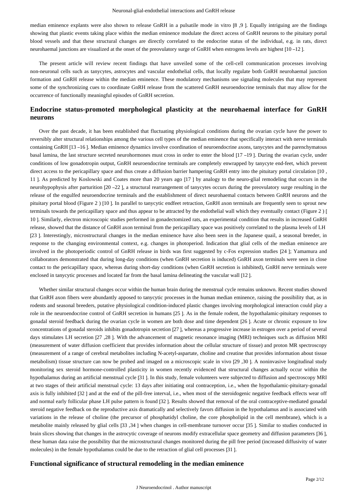median eminence explants were also shown to release GnRH in a pulsatile mode in vitro [8 ,9 ]. Equally intriguing are the findings showing that plastic events taking place within the median eminence modulate the direct access of GnRH neurons to the pituitary portal blood vessels and that these structural changes are directly correlated to the endocrine status of the individual, e.g. in rats, direct neurohaemal junctions are visualized at the onset of the preovulatory surge of GnRH when estrogens levels are highest [10 –12 ].

The present article will review recent findings that have unveiled some of the cell-cell communication processes involving non-neuronal cells such as tanycytes, astrocytes and vascular endothelial cells, that locally regulate both GnRH neurohaemal junction formation and GnRH release within the median eminence. These modulatory mechanisms use signaling molecules that may represent some of the synchronizing cues to coordinate GnRH release from the scattered GnRH neuroendocrine terminals that may allow for the occurrence of functionally meaningful episodes of GnRH secretion.

## **Endocrine status-promoted morphological plasticity at the neurohaemal interface for GnRH neurons**

Over the past decade, it has been established that fluctuating physiological conditions during the ovarian cycle have the power to reversibly alter structural relationships among the various cell types of the median eminence that specifically interact with nerve terminals containing GnRH [13 –16 ]. Median eminence dynamics involve coordination of neuroendocrine axons, tanycytes and the parenchymatous basal lamina, the last structure secreted neurohormones must cross in order to enter the blood [17 –19 ]. During the ovarian cycle, under conditions of low gonadotropin output, GnRH neuroendocrine terminals are completely enwrapped by tanycyte end-feet, which prevent direct access to the pericapillary space and thus create a diffusion barrier hampering GnRH entry into the pituitary portal circulation [10 , 11 ]. As predicted by Koslowski and Coates more than 20 years ago [17 ] by analogy to the neuro-glial remodeling that occurs in the neurohypophysis after parturition [20 –22 ], a structural rearrangement of tanycytes occurs during the preovulatory surge resulting in the release of the engulfed neuroendocrine terminals and the establishment of direct neurohaemal contacts between GnRH neurons and the pituitary portal blood (Figure 2 ) [10 ]. In parallel to tanycytic endfeet retraction, GnRH axon terminals are frequently seen to sprout new terminals towards the pericapillary space and thus appear to be attracted by the endothelial wall which they eventually contact (Figure 2 ) [ 10 ]. Similarly, electron microscopic studies performed in gonadectomized rats, an experimental condition that results in increased GnRH release, showed that the distance of GnRH axon terminal from the pericapillary space was positively correlated to the plasma levels of LH [23 ]. Interestingly, microstructural changes in the median eminence have also been seen in the Japanese quail, a seasonal breeder, in response to the changing environmental context, e.g. changes in photoperiod. Indication that glial cells of the median eminence are involved in the photoperiodic control of GnRH release in birds was first suggested by c-Fos expression studies [24 ]; Yamamura and collaborators demonstrated that during long-day conditions (when GnRH secretion is induced) GnRH axon terminals were seen in close contact to the pericapillary space, whereas during short-day conditions (when GnRH secretion is inhibited), GnRH nerve terminals were enclosed in tanycytic processes and located far from the basal lamina delineating the vascular wall [12 ].

Whether similar structural changes occur within the human brain during the menstrual cycle remains unknown. Recent studies showed that GnRH axon fibers were abundantly apposed to tanycytic processes in the human median eminence, raising the possibility that, as in rodents and seasonal breeders, putative physiological condition-induced plastic changes involving morphological interaction could play a role in the neuroendocrine control of GnRH secretion in humans [25 ]. As in the female rodent, the hypothalamic-pituitary responses to gonadal steroid feedback during the ovarian cycle in women are both dose and time dependent [26 ]. Acute or chronic exposure to low concentrations of gonadal steroids inhibits gonadotropin secretion [27 ], whereas a progressive increase in estrogen over a period of several days stimulates LH secretion [27 ,28 ]. With the advancement of magnetic resonance imaging (MRI) techniques such as diffusion MRI (measurement of water diffusion coefficient that provides information about the cellular structure of tissue) and proton MR spectroscopy (measurement of a range of cerebral metabolites including N-acetyl-aspartate, choline and creatine that provides information about tissue metabolism) tissue structure can now be probed and imaged on a microscopic scale in vivo [29 ,30 ]. A noninvasive longitudinal study monitoring sex steroid hormone-controlled plasticity in women recently evidenced that structural changes actually occur within the hypothalamus during an artificial menstrual cycle [31 ]. In this study, female volunteers were subjected to diffusion and spectroscopy MRI at two stages of their artificial menstrual cycle: 13 days after initiating oral contraception, i.e., when the hypothalamic-pituitary-gonadal axis is fully inhibited [32 ] and at the end of the pill-free interval, i.e., when most of the steroidogenic negative feedback effects wear off and normal early follicular phase LH pulse pattern is found [32 ]. Results showed that removal of the oral contraceptive-mediated gonadal steroid negative feedback on the reproductive axis dramatically and selectively favors diffusion in the hypothalamus and is associated with variations in the release of choline (the precursor of phosphatidyl choline, the core phospholipid in the cell membrane), which is a metabolite mainly released by glial cells [33 ,34 ] when changes in cell-membrane turnover occur [35 ]. Similar to studies conducted in brain slices showing that changes in the astrocytic coverage of neurons modify extracellular space geometry and diffusion parameters [36 ], these human data raise the possibility that the microstructural changes monitored during the pill free period (increased diffusivity of water molecules) in the female hypothalamus could be due to the retraction of glial cell processes [31 ].

## **Functional significance of structural remodeling in the median eminence**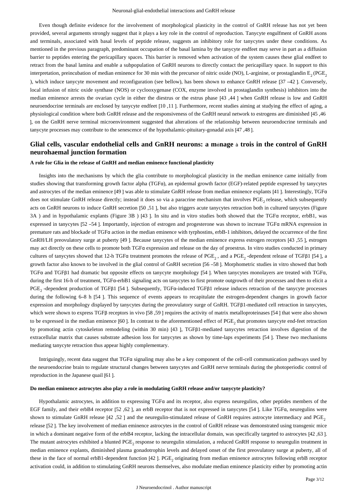Even though definite evidence for the involvement of morphological plasticity in the control of GnRH release has not yet been provided, several arguments strongly suggest that it plays a key role in the control of reproduction. Tanycyte engulfment of GnRH axons and terminals, associated with basal levels of peptide release, suggests an inhibitory role for tanycytes under these conditions. As mentioned in the previous paragraph, predominant occupation of the basal lamina by the tanycyte endfeet may serve in part as a diffusion barrier to peptides entering the pericapillary spaces. This barrier is removed when activation of the system causes these glial endfeet to retract from the basal lamina and enable a subpopulation of GnRH neurons to directly contact the pericapillary space. In support to this interpretation, preincubation of median eminence for 30 min with the precursor of nitric oxide (NO), L-arginine, or prostaglandin  $E_2(PGE_2)$ ), which induce tanycyte movement and reconfiguration (see bellow), has been shown to enhance GnRH release [37 –42 ]. Conversely, local infusion of nitric oxide synthase (NOS) or cyclooxygenase (COX, enzyme involved in prostaglandin synthesis) inhibitors into the median eminence arrests the ovarian cycle in either the diestrus or the estrus phase [43 ,44 ] when GnRH release is low and GnRH neuroendocrine terminals are enclosed by tanycyte endfeet [10 ,11 ]. Furthermore, recent studies aiming at studying the effect of aging, a physiological condition where both GnRH release and the responsiveness of the GnRH neural network to estrogens are diminished [45 ,46 ], on the GnRH nerve terminal microenvironment suggested that alterations of the relationship between neuroendocrine terminals and tanycyte processes may contribute to the senescence of the hypothalamic-pituitary-gonadal axis [47 ,48 ].

## **Glial cells, vascular endothelial cells and GnRH neurons: a m**é**nage** à **trois in the control of GnRH neurohaemal junction formation**

#### **A role for Glia in the release of GnRH and median eminence functional plasticity**

Insights into the mechanisms by which the glia contribute to morphological plasticity in the median eminence came initially from studies showing that transforming growth factor alpha (TGFα), an epidermal growth factor (EGF)-related peptide expressed by tanycytes and astrocytes of the median eminence [49] was able to stimulate GnRH release from median eminence explants [41]. Interestingly, TGF $\alpha$ does not stimulate GnRH release directly; instead it does so via a paracrine mechanism that involves PGE, release, which subsequently acts on GnRH neurons to induce GnRH secretion [50 ,51 ], but also triggers acute tanycytes retraction both in cultured tanycytes (Figure 3A ) and in hypothalamic explants (Figure 3B ) [43 ]. In situ and in vitro studies both showed that the TGFα receptor, erbB1, was expressed in tanycytes [52 –54 ]. Importantly, injection of estrogen and progesterone was shown to increase TGFα mRNA expression in premature rats and blockade of TGFα action in the median eminence with tyrphostins, erbB-1 inhibitors, delayed the occurrence of the first GnRH/LH preovulatory surge at puberty [49 ]. Because tanycytes of the median eminence express estrogen receptors [43 ,55 ], estrogen may act directly on these cells to promote both TGFα expression and release on the day of proestrus. In vitro studies conducted in primary cultures of tanycytes showed that 12-h TGFα treatment promotes the release of PGE, and a PGE, -dependent release of TGFβ1 [54], a growth factor also known to be involved in the glial control of GnRH secretion [56 –58 ]. Morphometric studies in vitro showed that both TGFα and TGFβ1 had dramatic but opposite effects on tanycyte morphology [54 ]. When tanycytes monolayers are treated with TGFα, during the first 16-h of treatment, TGFα-erbB1 signaling acts on tanycytes to first promote outgrowth of their processes and then to elicit a PGE<sub>2</sub> -dependent production of TGFβ1 [54 ]. Subsequently, TGFα-induced TGFβ1 release induces retraction of the tanycyte processes during the following 6–8 h [54 ]. This sequence of events appears to recapitulate the estrogen-dependent changes in growth factor expression and morphology displayed by tanycytes during the preovulatory surge of GnRH. TGFβ1-mediated cell retraction in tanycytes, which were shown to express TGFβ receptors in vivo [58,59] requires the activity of matrix metalloproteinases [54] that were also shown to be expressed in the median eminence [60]. In contrast to the aforementioned effect of PGE, that promotes tanycyte end-feet retraction by promoting actin cytoskeleton remodeling (within 30 min) [43 ], TGFβ1-mediated tanycytes retraction involves digestion of the extracellular matrix that causes substrate adhesion loss for tanycytes as shown by time-laps experiments [54 ]. These two mechanisms mediating tanycyte retraction thus appear highly complementary.

Intriguingly, recent data suggest that TGFα signaling may also be a key component of the cell-cell communication pathways used by the neuroendocrine brain to regulate structural changes between tanycytes and GnRH nerve terminals during the photoperiodic control of reproduction in the Japanese quail [61 ].

#### **Do median eminence astrocytes also play a role in modulating GnRH release and/or tanycyte plasticity?**

Hypothalamic astrocytes, in addition to expressing  $TGF\alpha$  and its receptor, also express neuregulins, other peptides members of the EGF family, and their erbB4 receptor [52 ,62 ], an erbB receptor that is not expressed in tanycytes [54 ]. Like TGFα, neuregulins were shown to stimulate GnRH release [42,52] and the neuregulin-stimulated release of GnRH requires astrocyte intermediacy and PGE<sub>2</sub> release [52 ]. The key involvement of median eminence astrocytes in the control of GnRH release was demonstrated using transgenic mice in which a dominant negative form of the erbB4 receptor, lacking the intracellular domain, was specifically targeted to astrocytes [42 ,63 ]. The mutant astrocytes exhibited a blunted PGE<sub>2</sub> response to neuregulin stimulation, a reduced GnRH response to neuregulin treatment in median eminence explants, diminished plasma gonadotrophin levels and delayed onset of the first preovulatory surge at puberty, all of these in the face of normal erbB1-dependent function [42 ]. PGE, originating from median eminence astrocytes following erbB receptor activation could, in addition to stimulating GnRH neurons themselves, also modulate median eminence plasticity either by promoting actin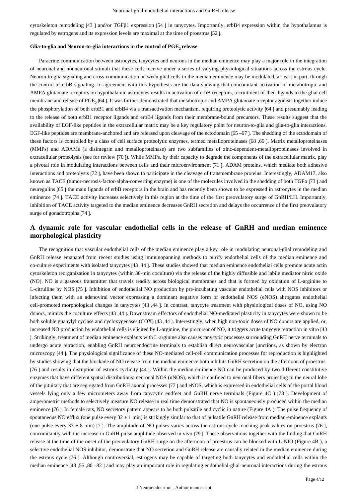cytoskeleton remodeling [43 ] and/or TGFβ1 expression [54 ] in tanycytes. Importantly, erbB4 expression within the hypothalamus is regulated by estrogens and its expression levels are maximal at the time of proestrus [52 ].

#### **Glia-to-glia and Neuron-to-glia interactions in the control of PGE release <sup>2</sup>**

Paracrine communication between astrocytes, tanycytes and neurons in the median eminence may play a major role in the integration of neuronal and nonneuronal stimuli that these cells receive under a series of varying physiological situations across the estrous cycle. Neuron-to glia signaling and cross-communication between glial cells in the median eminence may be modulated, at least in part, through the control of erbB signaling. In agreement with this hypothesis are the data showing that concomitant activation of metabotropic and AMPA glutamate receptors on hypothalamic astrocytes results in activation of erbB receptors, recruitment of their ligands to the glial cell membrane and release of PGE, [64]. It was further demonstrated that metabotropic and AMPA glutamate receptor agonists together induce the phosphorylation of both erbB1 and erbB4 via a transactivation mechanism, requiring proteolytic activity [64 ] and presumably leading to the release of both erbB1 receptor ligands and erbB4 ligands from their membrane-bound precursors. These results suggest that the availability of EGF-like peptides in the extracellular matrix may be a key regulatory point for neuron-to-glia and glia-to-glia interactions. EGF-like peptides are membrane-anchored and are released upon cleavage of the ectodomain [65 –67 ]. The shedding of the ectodomain of these factors is controlled by a class of cell surface proteolytic enzymes, termed metalloproteinases [68 ,69 ]. Matrix metalloproteinases (MMPs) and ADAMs (a disintegrin and metalloproteinase) are two subfamilies of zinc-dependent-metalloproteinases involved in extracellular proteolysis (see for review [70 ]). While MMPs, by their capacity to degrade the components of the extracellular matrix, play a pivotal role in modulating interactions between cells and their microenvironment [71 ], ADAM proteins, which mediate both adhesive interactions and proteolysis [72 ], have been shown to participate in the cleavage of transmembrane proteins. Interestingly, ADAM17, also known as TACE (tumor-necrosis-factor-alpha-converting enzyme) is one of the molecules involved in the shedding of both TGFα [73 ] and neuregulins [65 ] the main ligands of erbB receptors in the brain and has recently been shown to be expressed in astrocytes in the median eminence [74 ]. TACE activity increases selectively in this region at the time of the first preovulatory surge of GnRH/LH. Importantly, inhibition of TACE activity targeted to the median eminence decreases GnRH secretion and delays the occurrence of the first preovulatory surge of gonadotropins [74 ].

## **A dynamic role for vascular endothelial cells in the release of GnRH and median eminence morphological plasticity**

The recognition that vascular endothelial cells of the median eminence play a key role in modulating neuronal-glial remodeling and GnRH release emanated from recent studies using immunopanning methods to purify endothelial cells of the median eminence and co-culture experiments with isolated tanycytes [43 ,44 ]. These studies showed that median eminence endothelial cells promote acute actin cytoskeleton reorganization in tanycytes (within 30-min coculture) via the release of the highly diffusible and labile mediator nitric oxide (NO). NO is a gaseous transmitter that travels readily across biological membranes and that is formed by oxidation of L-arginine to L-citrulline by NOS [75 ]. Inhibition of endothelial NO production by pre-incubating vascular endothelial cells with NOS inhibitors or infecting them with an adenoviral vector expressing a dominant negative form of endothelial NOS (eNOS) abrogates endothelial cell-promoted morphological changes in tanycytes [43 ,44 ]. In contrast, tanycyte treatment with physiological doses of NO, using NO donors, mimics the coculture effects [43 ,44 ]. Downstream effectors of endothelial NO-meditated plasticity in tanycytes were shown to be both soluble guanylyl cyclase and cycloxygenases (COX) [43 ,44 ]. Interestingly, when high non-toxic doses of NO donors are applied, or, increased NO production by endothelial cells is elicited by L-arginine, the precursor of NO, it triggers acute tanycyte retraction in vitro [43 ]. Strikingly, treatment of median eminence explants with L-arginine also causes tanycytic processes surrounding GnRH nerve terminals to undergo acute retraction, enabling GnRH neuroendocrine terminals to establish direct neurovascular junctions, as shown by electron microscopy [44 ]. The physiological significance of these NO-mediated cell-cell communication processes for reproduction is highlighted by studies showing that the blockade of NO release from the median eminence both inhibits GnRH secretion on the afternoon of proestrus [76 ] and results in disruption of estrous cyclicity [44 ]. Within the median eminence NO can be produced by two different constitutive enzymes that have different spatial distributions: neuronal NOS (nNOS), which is confined to neuronal fibers projecting to the neural lobe of the pituitary that are segregated from GnRH axonal processes [77 ] and eNOS, which is expressed in endothelial cells of the portal blood vessels lying only a few micrometers away from tanycytic endfeet and GnRH nerve terminals (Figure 4C ) [78 ]. Development of amperometric methods to selectively measure NO release in real time demonstrated that NO is spontaneously produced within the median eminence [76 ]. In female rats, NO secretory pattern appears to be both pulsatile and cyclic in nature (Figure 4A ). The pulse frequency of spontaneous NO efflux (one pulse every  $32 \pm 1$  min) is strikingly similar to that of pulsatile GnRH release from median-eminence explants (one pulse every 33  $\pm$  8 min) [7]. The amplitude of NO pulses varies across the estrous cycle reaching peak values on proestrus [76], concomitantly with the increase in GnRH pulse amplitude observed in vivo [79 ]. These observations together with the finding that GnRH release at the time of the onset of the preovulatory GnRH surge on the afternoon of proestrus can be blocked with L-NIO (Figure 4B ), a selective endothelial NOS inhibitor, demonstrate that NO secretion and GnRH release are causally related in the median eminence during the estrous cycle [76 ]. Although controversial, estrogens may be capable of targeting both tanycytes and endothelial cells within the median eminence [43 ,55 ,80 –82 ] and may play an important role in regulating endothelial-glial-neuronal interactions during the estrous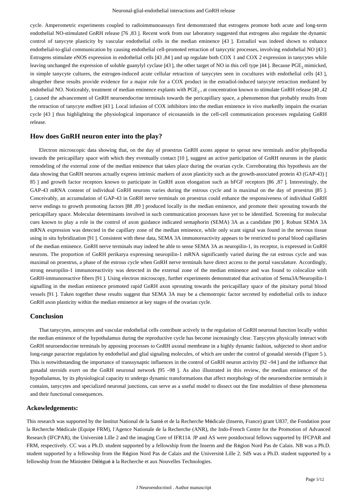cycle. Amperometric experiments coupled to radioimmunoassays first demonstrated that estrogens promote both acute and long-term endothelial NO-stimulated GnRH release [76 ,83 ]. Recent work from our laboratory suggested that estrogens also regulate the dynamic control of tanycyte plasticity by vascular endothelial cells in the median eminence [43 ]. Estradiol was indeed shown to enhance endothelial-to-glial communication by causing endothelial cell-promoted retraction of tanycytic processes, involving endothelial NO [43 ]. Estrogens stimulate eNOS expression in endothelial cells [43 ,84 ] and up regulate both COX 1 and COX 2 expression in tanycytes while leaving unchanged the expression of soluble guanylyl cyclase [43 ], the other target of NO in this cell type [44 ]. Because PGE, mimicked, in simple tanycyte cultures, the estrogen-induced acute cellular retraction of tanycytes seen in cocultures with endothelial cells [43 ], altogether these results provide evidence for a major role for a COX product in the estradiol-induced tanycyte retraction mediated by endothelial NO. Noticeably, treatment of median eminence explants with  $PGE_2$ , at concentration known to stimulate GnRH release [40 ,42 ], caused the advancement of GnRH neuroendocrine terminals towards the pericapillary space, a phenomenon that probably results from the retraction of tanycyte endfeet [43 ]. Local infusion of COX inhibitors into the median eminence in vivo markedly impairs the ovarian cycle [43 ] thus highlighting the physiological importance of eicosanoids in the cell-cell communication processes regulating GnRH release.

## **How does GnRH neuron enter into the play?**

Electron microscopic data showing that, on the day of proestrus GnRH axons appear to sprout new terminals and/or phyllopodia towards the pericapillary space with which they eventually contact [10 ], suggest an active participation of GnRH neurons in the plastic remodeling of the external zone of the median eminence that takes place during the ovarian cycle. Corroborating this hypothesis are the data showing that GnRH neurons actually express intrinsic markers of axon plasticity such as the growth-associated protein 43 (GAP-43) [ 85 ] and growth factor receptors known to participate in GnRH axon elongation such as bFGF receptors [86 ,87 ]. Interestingly, the GAP-43 mRNA content of individual GnRH neurons varies during the estrous cycle and is maximal on the day of proestrus [85 ]. Conceivably, an accumulation of GAP-43 in GnRH nerve terminals on proestrus could enhance the responsiveness of individual GnRH nerve endings to growth promoting factors [88 ,89 ] produced locally in the median eminence, and promote their sprouting towards the pericapillary space. Molecular determinants involved in such communication processes have yet to be identified. Screening for molecular cues known to play a role in the control of axon guidance indicated semaphorin (SEMA) 3A as a candidate [90 ]. Robust SEMA 3A mRNA expression was detected in the capillary zone of the median eminence, while only scant signal was found in the nervous tissue using in situ hybridization [91 ]. Consistent with these data, SEMA 3A immunoreactivity appears to be restricted to portal blood capillaries of the median eminence. GnRH nerve terminals may indeed be able to sense SEMA 3A as neuropilin-1, its receptor, is expressed in GnRH neurons. The proportion of GnRH perikarya expressing neuropilin-1 mRNA significantly varied during the rat estrous cycle and was maximal on proestrus, a phase of the estrous cycle when GnRH nerve terminals have direct access to the portal vasculature. Accordingly, strong neuropilin-1 immunoreactivity was detected in the external zone of the median eminence and was found to colocalize with GnRH-immunoreactive fibers [91 ]. Using electron microscopy, further experiments demonstrated that activation of Sema3A/Neuropilin-1 signalling in the median eminence promoted rapid GnRH axon sprouting towards the pericapillary space of the pituitary portal blood vessels [91 ]. Taken together these results suggest that SEMA 3A may be a chemotropic factor secreted by endothelial cells to induce GnRH axon plasticity within the median eminence at key stages of the ovarian cycle.

## **Conclusion**

That tanycytes, astrocytes and vascular endothelial cells contribute actively in the regulation of GnRH neuronal function locally within the median eminence of the hypothalamus during the reproductive cycle has become increasingly clear. Tanycytes physically interact with GnRH neuroendocrine terminals by apposing processes to GnRH axonal membrane in a highly dynamic fashion, subjected to short and/or long-range paracrine regulation by endothelial and glial signaling molecules, of which are under the control of gonadal steroids (Figure 5 ). This is notwithstanding the importance of transsynaptic influences in the control of GnRH neuron activity [92 –94 ] and the influence that gonadal steroids exert on the GnRH neuronal network [95 –98 ]. As also illustrated in this review, the median eminence of the hypothalamus, by its physiological capacity to undergo dynamic transformations that affect morphology of the neuroendocrine terminals it contains, tanycytes and specialized neuronal junctions, can serve as a useful model to dissect out the fine modalities of these phenomena and their functional consequences.

### **Ackowledgements:**

This research was supported by the Institut National de la Santé et de la Recherche Médicale (Inserm, France) grant U837, the Fondation pour la Recherche Médicale (Equipe FRM), l'Agence Nationale de la Recherche (ANR), the Indo-French Centre for the Promotion of Advanced Research (IFCPAR), the Université Lille 2 and the imaging Core of IFR114. JP and AS were postdoctoral fellows supported by IFCPAR and FRM, respectively. CC was a Ph.D. student supported by a fellowship from the Inserm and the Région Nord Pas de Calais. NB was a Ph.D. student supported by a fellowship from the Région Nord Pas de Calais and the Université Lille 2. SdS was a Ph.D. student supported by a fellowship from the Ministère Délégué à la Recherche et aux Nouvelles Technologies.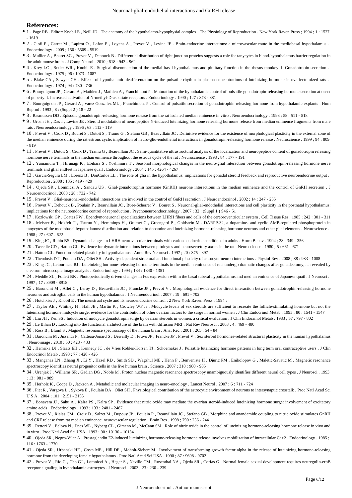#### **References:**

- 1 . Page RB . Editor: Knobil E , Neill JD . The anatomy of the hypothalamo-hypophysial complex . The Physiology of Reproduction . New York Raven Press ; 1994 ; 1 : 1527 - 1619
- 2 . Ciofi P , Garret M , Lapirot O , Lafon P , Loyens A , Prevot V , Levine JE . Brain-endocrine interactions: a microvascular route in the mediobasal hypothalamus . Endocrinology . 2009 ; 150 : 5509 - 5519
- 3 . Mullier A , Bouret SG , Prevot V , Dehouck B . Differential distribution of tight junction proteins suggests a role for tanycytes in blood-hypothalamus barrier regulation in the adult mouse brain . J Comp Neurol . 2010 ; 518 : 943 - 962
- 4 . Krey LC , Butler WR , Knobil E . Surgical disconnection of the medial basal hypothalamus and pituitary function in the rhesus monkey. I. Gonadotropin secretion . Endocrinology . 1975 ; 96 : 1073 - 1087
- 5 . Blake CA , Sawyer CH . Effects of hypothalamic deafferentation on the pulsatile rhythm in plasma concentrations of luteinizing hormone in ovariectomized rats . Endocrinology . 1974 ; 94 : 730 - 736
- 6 . Bourguignon JP , Gerard A , Mathieu J , Mathieu A , Franchimont P . Maturation of the hypothalamic control of pulsatile gonadotropin-releasing hormone secretion at onset of puberty. I. Increased activation of N-methyl-D-aspartate receptors . Endocrinology . 1990 ; 127 : 873 - 881
- 7 . Bourguignon JP , Gerard A , varez Gonzalez ML , Franchimont P . Control of pulsatile secretion of gonadotrophin releasing hormone from hypothalamic explants . Hum Reprod . 1993 ; 8 : (Suppl 2 ) 18 - 22
- 8 . Rasmussen DD . Episodic gonadotropin-releasing hormone release from the rat isolated median eminence in vitro . Neuroendocrinology . 1993 ; 58 : 511 518
- 9 . Urban JH , Das I , Levine JE . Steroid modulation of neuropeptide Y-induced luteinizing hormone releasing hormone release from median eminence fragments from male rats . Neuroendocrinology . 1996 ; 63 : 112 - 119
- 10 . Prevot V , Croix D , Bouret S , Dutoit S , Tramu G , Stefano GB , Beauvillain JC . Definitive evidence for the existence of morphological plasticity in the external zone of the median eminence during the rat estrous cycle: implication of neuro-glio-endothelial interactions in gonadotropin-releasing hormone release . Neuroscience . 1999 ; 94 : 809 - 819
- 11 . Prevot V , Dutoit S , Croix D , Tramu G , Beauvillain JC . Semi-quantitative ultrastructural analysis of the localization and neuropeptide content of gonadotropin releasing hormone nerve terminals in the median eminence throughout the estrous cycle of the rat . Neuroscience . 1998 ; 84 : 177 - 191
- 12 . Yamamura T , Hirunagi K , Ebihara S , Yoshimura T . Seasonal morphological changes in the neuro-glial interaction between gonadotropin-releasing hormone nerve terminals and glial endfeet in Japanese quail . Endocrinology . 2004 ; 145 : 4264 - 4267
- 13 . Garcia-Segura LM , Lorenz B , DonCarlos LL . The role of glia in the hypothalamus: implications for gonadal steroid feedback and reproductive neuroendocrine output . Reproduction . 2008 ; 135 : 419 - 429
- 14 . Ojeda SR , Lomniczi A , Sandau US . Glial-gonadotrophin hormone (GnRH) neurone interactions in the median eminence and the control of GnRH secretion . J Neuroendocrinol . 2008 ; 20 : 732 - 742
- $\bullet$  15 . Prevot V . Glial-neuronal-endothelial interactions are involved in the control of GnRH secretion . J Neuroendocrinol . 2002 : 14 : 247 255
- 16 . Prevot V , Dehouck B , Poulain P , Beauvillain JC , Buee-Scherrer V , Bouret S . Neuronal-glial-endothelial interactions and cell plasticity in the postnatal hypothalamus: implications for the neuroendocrine control of reproduction . Psychoneuroendocrinology . 2007 ; 32 : (Suppl 1 ) S46 - 51
- 17 . Kozlowski GP , Coates PW . Ependymoneuronal specializations between LHRH fibers and cells of the cerebroventricular system . Cell Tissue Res . 1985 ; 242 : 301 311
- 18 . Meister B , Hokfelt T , Tsuruo Y , Hemmings H , Ouimet C , Greengard P , Goldstein M . DARPP-32, a dopamine- and cyclic AMP-regulated phosphoprotein in tanycytes of the mediobasal hypothalamus: distribution and relation to dopamine and luteinizing hormone-releasing hormone neurons and other glial elements . Neuroscience . 1988 ; 27 : 607 - 622
- 19 . King JC , Rubin BS . Dynamic changes in LHRH neurovascular terminals with various endocrine conditions in adults . Horm Behav . 1994 ; 28 : 349 356
- 20 . Tweedle CD, Hatton GI . Evidence for dynamic interactions between pituicytes and neurosecretory axons in the rat . Neuroscience . 1980 ; 5 : 661 671
- 21 . Hatton GI . Function-related plasticity in hypothalamus . Annu Rev Neurosci . 1997 ; 20 : 375 397
- 22 . Theodosis DT , Poulain DA , Oliet SH . Activity-dependent structural and functional plasticity of astrocyte-neuron interactions . Physiol Rev . 2008 ; 88 : 983 1008
- 23. King JC, Letourneau RJ. Luteinizing hormone-releasing hormone terminals in the median eminence of rats undergo dramatic changes after gonadectomy, as revealed by electron microscopic image analysis . Endocrinology . 1994 ; 134 : 1340 - 1351
- 24 . Meddle SL , Follett BK . Photoperiodically driven changes in Fos expression within the basal tuberal hypothalamus and median eminence of Japanese quail . J Neurosci . 1997 ; 17 : 8909 - 8918
- 25 . Baroncini M , Allet C , Leroy D , Beauvillain JC , Francke JP , Prevot V . Morphological evidence for direct interaction between gonadotrophin-releasing hormone neurones and astroglial cells in the human hypothalamus . J Neuroendocrinol . 2007 ; 19 : 691 - 702
- 26 . Hotchkiss J , Knobil E . The menstrual cycle and its neuroendocrine control . 2 New York Raven Press ; 1994 ;
- 27 . Taylor AE , Whitney H , Hall JE , Martin K , Crowley WF Jr . Midcycle levels of sex steroids are sufficient to recreate the follicle-stimulating hormone but not the luteinizing hormone midcycle surge: evidence for the contribution of other ovarian factors to the surge in normal women . J Clin Endocrinol Metab . 1995 ; 80 : 1541 - 1547
- 28 . Liu JH , Yen SS . Induction of midcycle gonadotropin surge by ovarian steroids in women: a critical evaluation . J Clin Endocrinol Metab . 1983 ; 57 : 797 802
- 29 . Le Bihan D . Looking into the functional architecture of the brain with diffusion MRI . Nat Rev Neurosci . 2003 ; 4 : 469 480
- 30 . Ross B , Bluml S . Magnetic resonance spectroscopy of the human brain . Anat Rec . 2001 ; 265 : 54 84
- 31 . Baroncini M , Jissendi P , Catteau-Jonard S , Dewailly D , Pruvo JP , Francke JP , Prevot V . Sex steroid hormones-related structural plasticity in the human hypothalamus . Neuroimage . 2010 ; 50 : 428 - 433
- 32 . Hemrika DJ , Slaats EH , Kennedy JC , de Vries Robles-Korsen TJ , Schoemaker J . Pulsatile luteinizing hormone patterns in long term oral contraceptive users . J Clin Endocrinol Metab . 1993 ; 77 : 420 - 426
- 33 . Manganas LN , Zhang X , Li Y , Hazel RD , Smith SD , Wagshul ME , Henn F , Benveniste H , Djuric PM , Enikolopov G , Maletic-Savatic M . Magnetic resonance spectroscopy identifies neural progenitor cells in the live human brain . Science . 2007 ; 318 : 980 - 985
- 34 . Urenjak J , Williams SR , Gadian DG , Noble M . Proton nuclear magnetic resonance spectroscopy unambiguously identifies different neural cell types . J Neurosci . 1993 ; 13 : 981 - 989
- 35 . Herholz K , Coope D , Jackson A . Metabolic and molecular imaging in neuro-oncology . Lancet Neurol . 2007 ; 6 : 711 724
- 36 . Piet R , Vargova L , Sykova E , Poulain DA , Oliet SH . Physiological contribution of the astrocytic environment of neurons to intersynaptic crosstalk . Proc Natl Acad Sci U S A . 2004 ; 101 : 2151 - 2155
- 37 . Bonavera JJ , Sahu A , Kalra PS , Kalra SP . Evidence that nitric oxide may mediate the ovarian steroid-induced luteinizing hormone surge: involvement of excitatory amino acids . Endocrinology . 1993 ; 133 : 2481 - 2487
- 38 . Prevot V , Rialas CM , Croix D , Salzet M , Dupouy JP , Poulain P , Beauvillain JC , Stefano GB . Morphine and anandamide coupling to nitric oxide stimulates GnRH and CRF release from rat median eminence: neurovascular regulation . Brain Res . 1998 ; 790 : 236 - 244
- 39 . Rettori V , Belova N , Dees WL , Nyberg CL , Gimeno M , McCann SM . Role of nitric oxide in the control of luteinizing hormone-releasing hormone release in vivo and in vitro . Proc Natl Acad Sci USA . 1993 ; 90 : 10130 - 10134
- 40 . Ojeda SR , Negro-Vilar A . Prostaglandin E2-induced luteinizing hormone-releasing hormone release involves mobilization of intracellular Ca+2 . Endocrinology . 1985 ;  $116 \cdot 1763 - 1770$
- 41 . Ojeda SR , Urbanski HF , Costa ME , Hill DF , Moholt-Siebert M . Involvement of transforming growth factor alpha in the release of luteinizing hormone-releasing hormone from the developing female hypothalamus . Proc Natl Acad Sci USA . 1990 ; 87 : 9698 - 9702
- 42 . Prevot V , Rio C , Cho GJ , Lomniczi A , Heger S , Neville CM , Rosenthal NA , Ojeda SR , Corfas G . Normal female sexual development requires neuregulin-erbB receptor signaling in hypothalamic astrocytes . J Neurosci . 2003 ; 23 : 230 - 239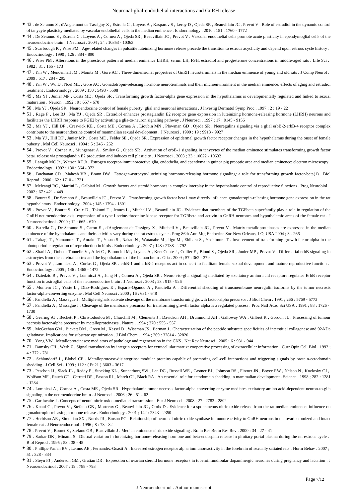- 43 . de Seranno S , d'Anglemont de Tassigny X , Estrella C , Loyens A , Kasparov S , Leroy D , Ojeda SR , Beauvillain JC , Prevot V . Role of estradiol in the dynamic control of tanycyte plasticity mediated by vascular endothelial cells in the median eminence . Endocrinology . 2010 ; 151 : 1760 - 1772
- 44 . De Seranno S , Estrella C , Loyens A , Cornea A , Ojeda SR , Beauvillain JC , Prevot V . Vascular endothelial cells promote acute plasticity in ependymoglial cells of the neuroendocrine brain . J Neurosci . 2004 ; 24 : 10353 - 10363
- 45 . Scarbrough K , Wise PM . Age-related changes in pulsatile luteinizing hormone release precede the transition to estrous acyclicity and depend upon estrous cycle history . Endocrinology . 1990 ; 126 : 884 - 890
- 46 . Wise PM . Alterations in the proestrous pattern of median eminence LHRH, serum LH, FSH, estradiol and progesterone concentrations in middle-aged rats . Life Sci .  $1982 \cdot 31 \cdot 165 = 173$
- 47 . Yin W , Mendenhall JM , Monita M , Gore AC . Three-dimensional properties of GnRH neuroterminals in the median eminence of young and old rats . J Comp Neurol . 2009 ; 517 : 284 - 295
- 48 . Yin W , Wu D , Noel ML , Gore AC . Gonadotropin-releasing hormone neuroterminals and their microenvironment in the median eminence: effects of aging and estradiol treatment . Endocrinology . 2009 ; 150 : 5498 - 5508
- 49 . Ma YJ , Junier MP , Costa ME , Ojeda SR . Transforming growth factor-alpha gene expression in the hypothalamus is developmentally regulated and linked to sexual maturation . Neuron . 1992 ; 9 : 657 - 670
- 50 . Ma YJ , Ojeda SR . Neuroendocrine control of female puberty: glial and neuronal interactions . J Investig Dermatol Symp Proc . 1997 ; 2 : 19 22
- 51 . Rage F , Lee BJ , Ma YJ , Ojeda SR . Estradiol enhances prostaglandin E2 receptor gene expression in luteinizing hormone-releasing hormone (LHRH) neurons and facilitates the LHRH response to PGE2 by activating a glia-to-neuron signaling pathway . J Neurosci . 1997 ; 17 : 9145 - 9156
- 52 . Ma YJ , Hill DF , Creswick KE , Costa ME , Cornea A , Lioubin MN , Plowman GD , Ojeda SR . Neuregulins signaling via a glial erbB-2-erbB-4 receptor complex contribute to the neuroendocrine control of mammalian sexual development . J Neurosci . 1999 ; 19 : 9913 - 9927
- 53 . Ma YJ , Hill DF , Junier MP , Costa ME , Felder SE , Ojeda SR . Expression of epidermal growth factor receptor changes in the hypothalamus during the onset of female puberty . Mol Cell Neurosci . 1994 ; 5 : 246 - 262
- 54 . Prevot V , Cornea A , Mungenast A , Smiley G , Ojeda SR . Activation of erbB-1 signaling in tanycytes of the median eminence stimulates transforming growth factor beta1 release via prostaglandin E2 production and induces cell plasticity . J Neurosci . 2003 ; 23 : 10622 - 10632
- 55 . Langub MC Jr , Watson RE Jr . Estrogen receptor-immunoreactive glia, endothelia, and ependyma in guinea pig preoptic area and median eminence: electron microscopy . Endocrinology . 1992 ; 130 : 364 - 372
- 56 . Buchanan CD , Mahesh VB , Brann DW . Estrogen-astrocyte-luteinizing hormone-releasing hormone signaling: a role for transforming growth factor-beta(1) . Biol Reprod . 2000 ; 62 : 1710 - 1721
- 57 . Melcangi RC , Martini L , Galbiati M . Growth factors and steroid hormones: a complex interplay in the hypothalamic control of reproductive functions . Prog Neurobiol . 2002 ; 67 : 421 - 449
- 58 . Bouret S , De Seranno S , Beauvillain JC , Prevot V . Transforming growth factor beta1 may directly influence gonadotropin-releasing hormone gene expression in the rat hypothalamus . Endocrinology . 2004 ; 145 : 1794 - 1801
- 59 . Prevot V , Bouret S , Croix D , Takumi T , Jennes L , Mitchell V , Beauvillain JC . Evidence that members of the TGFbeta superfamily play a role in regulation of the GnRH neuroendocrine axis: expression of a type I serine-threonine kinase receptor for TGRbeta and activin in GnRH neurones and hypothalamic areas of the female rat . J Neuroendocrinol . 2000 ; 12 : 665 - 670
- 60 . Estrella C , De Seranno S , Caron E , d'Anglemont de Tassigny X , Mitchell V , Beauvillain JC , Prevot V . Matrix metalloproteinases are expressed in the median eminence of the hypothalamus and their activities vary during the rat estrous cycle . Prog 86th Ann Mtg Endocrine Soc New Orleans, LO, USA 2004 ; 3 - 266
- 61 . Takagi T , Yamamura T , Anraku T , Yasuo S , Nakao N , Watanabe M , Iigo M , Ebihara S , Yoshimura T . Involvement of transforming growth factor alpha in the photoperiodic regulation of reproduction in birds . Endocrinology . 2007 ; 148 : 2788 - 2792
- 62 . Sharif A , Duhem-Tonnelle V , Allet C , Baroncini M , Loyens A , Kerr-Conte J , Collier F , Blond S , Ojeda SR , Junier MP , Prevot V . Differential erbB signaling in astrocytes from the cerebral cortex and the hypothalamus of the human brain . Glia . 2009 ; 57 : 362 - 379
- 63 . Prevot V , Lomniczi A , Corfas G , Ojeda SR . erbB-1 and erbB-4 receptors act in concert to facilitate female sexual development and mature reproductive function . Endocrinology . 2005 ; 146 : 1465 - 1472
- 64 . Dziedzic B , Prevot V , Lomniczi A , Jung H , Cornea A , Ojeda SR . Neuron-to-glia signaling mediated by excitatory amino acid receptors regulates ErbB receptor function in astroglial cells of the neuroendocrine brain . J Neurosci . 2003 ; 23 : 915 - 926
- 65 . Montero JC , Yuste L , Diaz-Rodriguez E , Esparis-Ogando A , Pandiella A . Differential shedding of transmembrane neuregulin isoforms by the tumor necrosis factor-alpha-converting enzyme . Mol Cell Neurosci . 2000 ; 16 : 631 - 648
- 66 . Pandiella A , Massague J . Multiple signals activate cleavage of the membrane transforming growth factor-alpha precursor . J Biol Chem . 1991 ; 266 : 5769 5773
- 67 . Pandiella A , Massague J . Cleavage of the membrane precursor for transforming growth factor alpha is a regulated process . Proc Natl Acad Sci USA . 1991 ; 88 : 1726 1730
- 68 . Gearing AJ , Beckett P , Christodoulou M , Churchill M , Clements J , Davidson AH , Drummond AH , Galloway WA , Gilbert R , Gordon JL . Processing of tumour necrosis factor-alpha precursor by metalloproteinases . Nature . 1994 ; 370 : 555 - 557
- 69 . McGeehan GM , Bickett DM , Green M , Kassel D , Wiseman JS , Berman J . Characterization of the peptide substrate specificities of interstitial collagenase and 92-kDa gelatinase. Implications for substrate optimization . J Biol Chem . 1994 ; 269 : 32814 - 32820
- 70 . Yong VW . Metalloproteinases: mediators of pathology and regeneration in the CNS . Nat Rev Neurosci . 2005 ; 6 : 931 944
- 71 . Damsky CH , Werb Z . Signal transduction by integrin receptors for extracellular matrix: cooperative processing of extracellular information . Curr Opin Cell Biol . 1992 ; 4 : 772 - 781
- 72 . Schlondorff J , Blobel CP . Metalloprotease-disintegrins: modular proteins capable of promoting cell-cell interactions and triggering signals by protein-ectodomain shedding . J Cell Sci . 1999 ; 112 : ( Pt 21 ) 3603 - 3617
- 73 . Peschon JJ , Slack JL , Reddy P , Stocking KL , Sunnarborg SW , Lee DC , Russell WE , Castner BJ , Johnson RS , Fitzner JN , Boyce RW , Nelson N , Kozlosky CJ , Wolfson MF , Rauch CT , Cerretti DP , Paxton RJ , March CJ , Black RA . An essential role for ectodomain shedding in mammalian development . Science . 1998 ; 282 : 1281 - 1284
- 74 . Lomniczi A , Cornea A , Costa ME , Ojeda SR . Hypothalamic tumor necrosis factor-alpha converting enzyme mediates excitatory amino acid-dependent neuron-to-glia signaling in the neuroendocrine brain . J Neurosci . 2006 ; 26 : 51 - 62
- 75 . Garthwaite J . Concepts of neural nitric oxide-mediated transmission . Eur J Neurosci . 2008 ; 27 : 2783 2802
- 76 . Knauf C , Prevot V , Stefano GB , Mortreux G , Beauvillain JC , Croix D . Evidence for a spontaneous nitric oxide release from the rat median eminence: influence on gonadotropin-releasing hormone release . Endocrinology . 2001 ; 142 : 2343 - 2350
- 77 . Herbison AE , Simonian SX , Norris PJ , Emson PC . Relationship of neuronal nitric oxide synthase immunoreactivity to GnRH neurons in the ovariectomized and intact female rat . J Neuroendocrinol . 1996 ; 8 : 73 - 82
- 78 . Prevot V , Bouret S , Stefano GB , Beauvillain J . Median eminence nitric oxide signaling . Brain Res Brain Res Rev . 2000 ; 34 : 27 41
- 79 . Sarkar DK , Minami S . Diurnal variation in luteinizing hormone-releasing hormone and beta-endorphin release in pituitary portal plasma during the rat estrous cycle . Biol Reprod . 1995 ; 53 : 38 - 45
- 80 . Phillips-Farfan BV , Lemus AE , Fernandez-Guasti A . Increased estrogen receptor alpha immunoreactivity in the forebrain of sexually satiated rats . Horm Behav . 2007 ; 51 : 328 - 334
- 81 . Steyn FJ , Anderson GM , Grattan DR . Expression of ovarian steroid hormone receptors in tuberoinfundibular dopaminergic neurones during pregnancy and lactation . J Neuroendocrinol . 2007 ; 19 : 788 - 793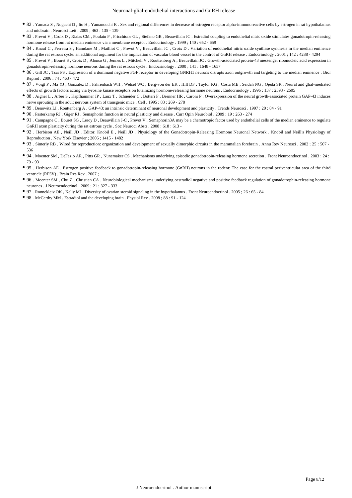- 82 . Yamada S , Noguchi D , Ito H , Yamanouchi K . Sex and regional differences in decrease of estrogen receptor alpha-immunoreactive cells by estrogen in rat hypothalamus and midbrain . Neurosci Lett . 2009 ; 463 : 135 - 139
- 83 . Prevot V , Croix D , Rialas CM , Poulain P , Fricchione GL , Stefano GB , Beauvillain JC . Estradiol coupling to endothelial nitric oxide stimulates gonadotropin-releasing hormone release from rat median eminence via a membrane receptor . Endocrinology . 1999 ; 140 : 652 - 659
- 84 . Knauf C , Ferreira S , Hamdane M , Mailliot C , Prevot V , Beauvillain JC , Croix D . Variation of endothelial nitric oxide synthase synthesis in the median eminence during the rat estrous cycle: an additional argument for the implication of vascular blood vessel in the control of GnRH release . Endocrinology . 2001 ; 142 : 4288 - 4294
- 85 . Prevot V , Bouret S , Croix D , Alonso G , Jennes L , Mitchell V , Routtenberg A , Beauvillain JC . Growth-associated protein-43 messenger ribonucleic acid expression in gonadotropin-releasing hormone neurons during the rat estrous cycle . Endocrinology . 2000 ; 141 : 1648 - 1657
- 86 . Gill JC , Tsai PS . Expression of a dominant negative FGF receptor in developing GNRH1 neurons disrupts axon outgrowth and targeting to the median eminence . Biol Reprod . 2006 ; 74 : 463 - 472
- 87 . Voigt P , Ma YJ , Gonzalez D , Fahrenbach WH , Wetsel WC , Berg-von der EK , Hill DF , Taylor KG , Costa ME , Seidah NG , Ojeda SR . Neural and glial-mediated effects of growth factors acting via tyrosine kinase receptors on luteinizing hormone-releasing hormone neurons . Endocrinology . 1996 ; 137 : 2593 - 2605
- 88 . Aigner L , Arber S , Kapfhammer JP , Laux T , Schneider C , Botteri F , Brenner HR , Caroni P . Overexpression of the neural growth-associated protein GAP-43 induces nerve sprouting in the adult nervous system of transgenic mice . Cell . 1995 ; 83 : 269 - 278
- 89 . Benowitz LI , Routtenberg A . GAP-43: an intrinsic determinant of neuronal development and plasticity . Trends Neurosci . 1997 ; 20 : 84 91
- 90 . Pasterkamp RJ , Giger RJ . Semaphorin function in neural plasticity and disease . Curr Opin Neurobiol . 2009 ; 19 : 263 274
- 91 . Campagne C , Bouret SG , Leroy D , Beauvillain J-C , Prevot V . Semaphorin3A may be a chemotropic factor used by endothelial cells of the median eminence to regulate GnRH axon plasticity during the rat estrous cycle . Soc Neuroci Abstr . 2008 ; 618 : 613 -
- 92 . Herbison AE , Neill JD . Editor: Knobil E , Neill JD . Physiology of the Gonadotropin-Releasing Hormone Neuronal Network . Knobil and Neill's Physiology of Reproduction . New York Elsevier ; 2006 ; 1415 - 1482
- 93 . Simerly RB . Wired for reproduction: organization and development of sexually dimorphic circuits in the mammalian forebrain . Annu Rev Neurosci . 2002 ; 25 : 507 536
- 94 . Moenter SM , DeFazio AR , Pitts GR , Nunemaker CS . Mechanisms underlying episodic gonadotropin-releasing hormone secretion . Front Neuroendocrinol . 2003 ; 24 : 79 - 93
- 95 . Herbison AE . Estrogen positive feedback to gonadotropin-releasing hormone (GnRH) neurons in the rodent: The case for the rostral periventricular area of the third ventricle (RP3V) . Brain Res Rev . 2007 ;
- 96 . Moenter SM , Chu Z , Christian CA . Neurobiological mechanisms underlying oestradiol negative and positive feedback regulation of gonadotrophin-releasing hormone neurones . J Neuroendocrinol  $.2009 \cdot 21 \cdot 327 = 333$
- 97 . Ronnekleiv OK , Kelly MJ . Diversity of ovarian steroid signaling in the hypothalamus . Front Neuroendocrinol . 2005 ; 26 : 65 84
- 98 . McCarthy MM . Estradiol and the developing brain . Physiol Rev . 2008 ; 88 : 91 124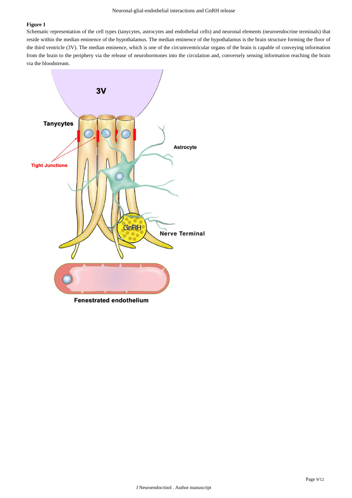Schematic representation of the cell types (tanycytes, astrocytes and endothelial cells) and neuronal elements (neuroendocrine terminals) that reside within the median eminence of the hypothalamus. The median eminence of the hypothalamus is the brain structure forming the floor of the third ventricle (3V). The median eminence, which is one of the circumventricular organs of the brain is capable of conveying information from the brain to the periphery via the release of neurohormones into the circulation and, conversely sensing information reaching the brain via the bloodstream.

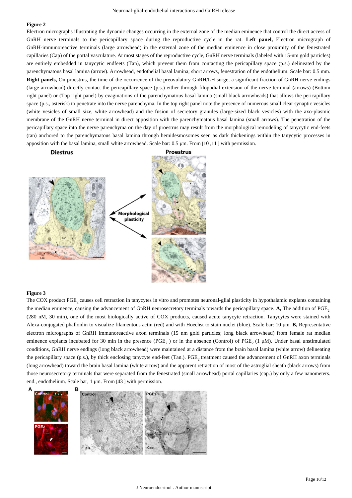Electron micrographs illustrating the dynamic changes occurring in the external zone of the median eminence that control the direct access of GnRH nerve terminals to the pericapillary space during the reproductive cycle in the rat. **Left panel,** Electron micrograph of GnRH-immunoreactive terminals (large arrowhead) in the external zone of the median eminence in close proximity of the fenestrated capillaries (Cap) of the portal vasculature. At most stages of the reproductive cycle, GnRH nerve terminals (labeled with 15-nm gold particles) are entirely embedded in tanycytic endfeets (Tan), which prevent them from contacting the pericapillary space (p.s.) delineated by the parenchymatous basal lamina (arrow). Arrowhead, endothelial basal lamina; short arrows, fenestration of the endothelium. Scale bar: 0.5 mm. **Right panels,** On proestrus, the time of the occurrence of the preovulatory GnRH/LH surge, a significant fraction of GnRH nerve endings (large arrowhead) directly contact the pericapillary space (p.s.) either through filopodial extension of the nerve terminal (arrows) (Bottom right panel) or (Top right panel) by evaginations of the parenchymatous basal lamina (small black arrowheads) that allows the pericapillary space (p.s., asterisk) to penetrate into the nerve parenchyma. In the top right panel note the presence of numerous small clear synaptic vesicles (white vesicles of small size, white arrowhead) and the fusion of secretory granules (large-sized black vesicles) with the axo-plasmic membrane of the GnRH nerve terminal in direct apposition with the parenchymatous basal lamina (small arrows). The penetration of the pericapillary space into the nerve parenchyma on the day of proestrus may result from the morphological remodeling of tanycytic end-feets (tan) anchored to the parenchymatous basal lamina through hemidesmosomes seen as dark thickenings within the tanycytic processes in apposition with the basal lamina, small white arrowhead. Scale bar: 0.5 μm. From [10 ,11 ] with permission.

**Diestrus** 





#### **Figure 3**

The COX product  $PGE_2$  causes cell retraction in tanycytes in vitro and promotes neuronal-glial plasticity in hypothalamic explants containing the median eminence, causing the advancement of GnRH neurosecretory terminals towards the pericapillary space. A, The addition of PGE<sub>2</sub> (280 nM, 30 min), one of the most biologically active of COX products, caused acute tanycyte retraction. Tanycytes were stained with Alexa-conjugated phalloidin to visualize filamentous actin (red) and with Hoechst to stain nuclei (blue). Scale bar: 10 μm. **B,** Representative electron micrographs of GnRH immunoreactive axon terminals (15 nm gold particles; long black arrowhead) from female rat median eminence explants incubated for 30 min in the presence (PGE,) or in the absence (Control) of PGE,  $(1 \mu M)$ . Under basal unstimulated conditions, GnRH nerve endings (long black arrowhead) were maintained at a distance from the brain basal lamina (white arrow) delineating the pericapillary space (p.s.), by thick enclosing tanycyte end-feet (Tan.). PGE, treatment caused the advancement of GnRH axon terminals (long arrowhead) toward the brain basal lamina (white arrow) and the apparent retraction of most of the astroglial sheath (black arrows) from those neurosecretory terminals that were separated from the fenestrated (small arrowhead) portal capillaries (cap.) by only a few nanometers. end., endothelium. Scale bar, 1 μm. From [43 ] with permission.

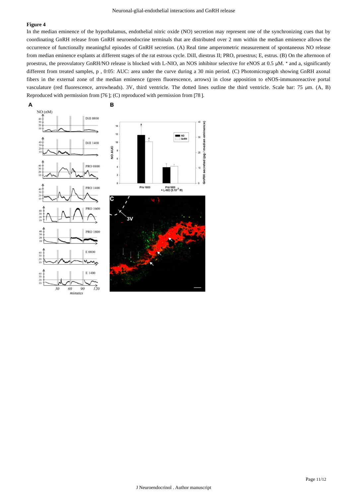In the median eminence of the hypothalamus, endothelial nitric oxide (NO) secretion may represent one of the synchronizing cues that by coordinating GnRH release from GnRH neuroendocrine terminals that are distributed over 2 mm within the median eminence allows the occurrence of functionally meaningful episodes of GnRH secretion. (A) Real time amperometric measurement of spontaneous NO release from median eminence explants at different stages of the rat estrous cycle. DiII, diestrus II; PRO, proestrus; E, estrus. (B) On the afternoon of proestrus, the preovulatory GnRH/NO release is blocked with L-NIO, an NOS inhibitor selective for eNOS at 0.5 μM. \* and a, significantly different from treated samples, p , 0:05: AUC: area under the curve during a 30 min period. (C) Photomicrograph showing GnRH axonal fibers in the external zone of the median eminence (green fluorescence, arrows) in close apposition to eNOS-immunoreactive portal vasculature (red fluorescence, arrowheads). 3V, third ventricle. The dotted lines outline the third ventricle. Scale bar: 75 μm. (A, B) Reproduced with permission from [76 ]; (C) reproduced with permission from [78 ].